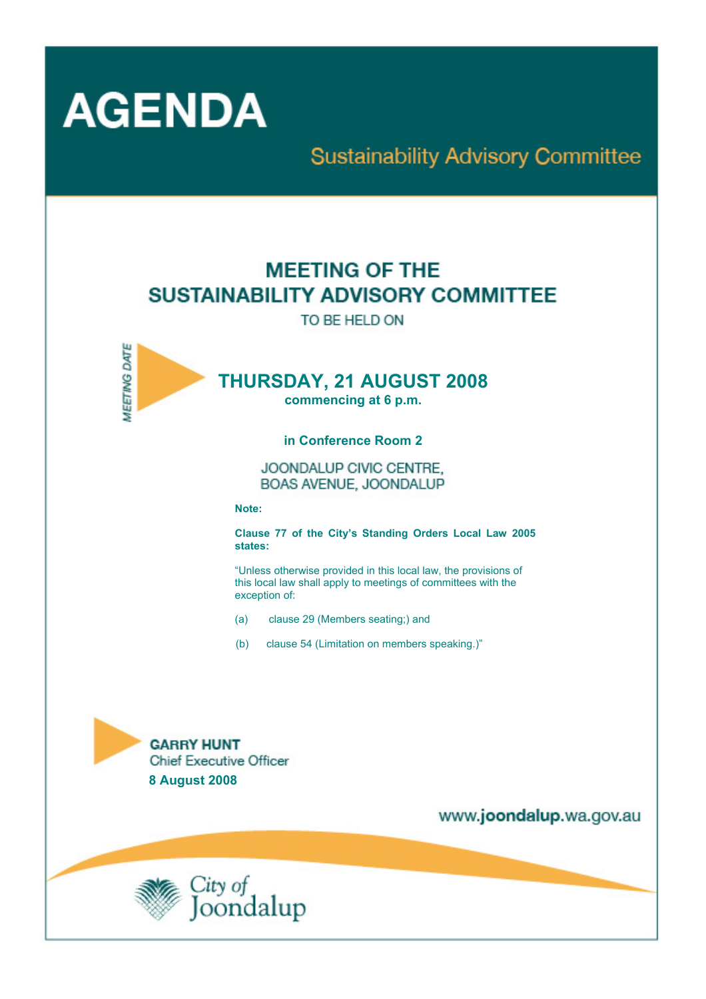

# **Sustainability Advisory Committee**

# **MEETING OF THE** SUSTAINABILITY ADVISORY COMMITTEE

TO BE HELD ON



# **THURSDAY, 21 AUGUST 2008**

**commencing at 6 p.m.** 

#### **in Conference Room 2**

JOONDALUP CIVIC CENTRE. BOAS AVENUE, JOONDALUP

**Note:** 

**Clause 77 of the City's Standing Orders Local Law 2005 states:** 

"Unless otherwise provided in this local law, the provisions of this local law shall apply to meetings of committees with the exception of:

- (a) clause 29 (Members seating;) and
- (b) clause 54 (Limitation on members speaking.)"



www.joondalup.wa.gov.au

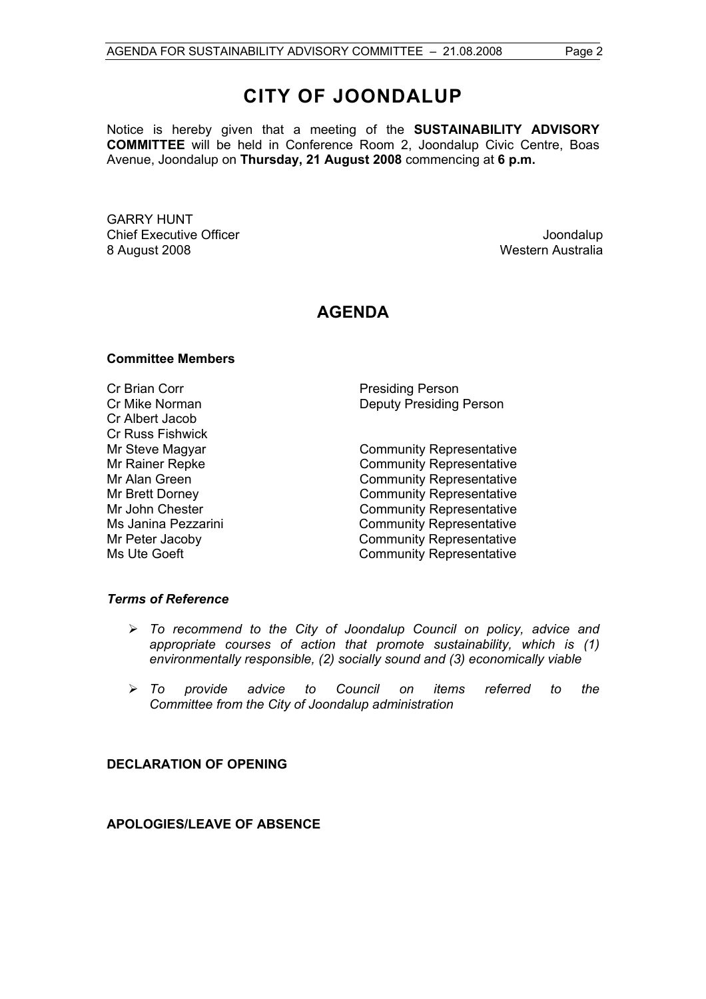Notice is hereby given that a meeting of the **SUSTAINABILITY ADVISORY COMMITTEE** will be held in Conference Room 2, Joondalup Civic Centre, Boas Avenue, Joondalup on **Thursday, 21 August 2008** commencing at **6 p.m.** 

GARRY HUNT **Chief Executive Officer Chief Executive Officer Joseph According to the Chief Executive Officer Joondalup** 8 August 2008 Western Australia

# **AGENDA**

#### **Committee Members**

Cr Brian Corr **Presiding Person** Cr Albert Jacob Cr Russ Fishwick

Cr Mike Norman Deputy Presiding Person

Mr Steve Magyar **Community Representative** Mr Rainer Repke Community Representative Mr Alan Green **Community Representative** Mr Brett Dorney **Community Representative** Mr John Chester **Community Representative** Ms Janina Pezzarini **Community Representative** Mr Peter Jacoby **Community Representative** Ms Ute Goeft Community Representative

#### *Terms of Reference*

- ¾ *To recommend to the City of Joondalup Council on policy, advice and appropriate courses of action that promote sustainability, which is (1) environmentally responsible, (2) socially sound and (3) economically viable*
- ¾ *To provide advice to Council on items referred to the Committee from the City of Joondalup administration*

## **DECLARATION OF OPENING**

**APOLOGIES/LEAVE OF ABSENCE**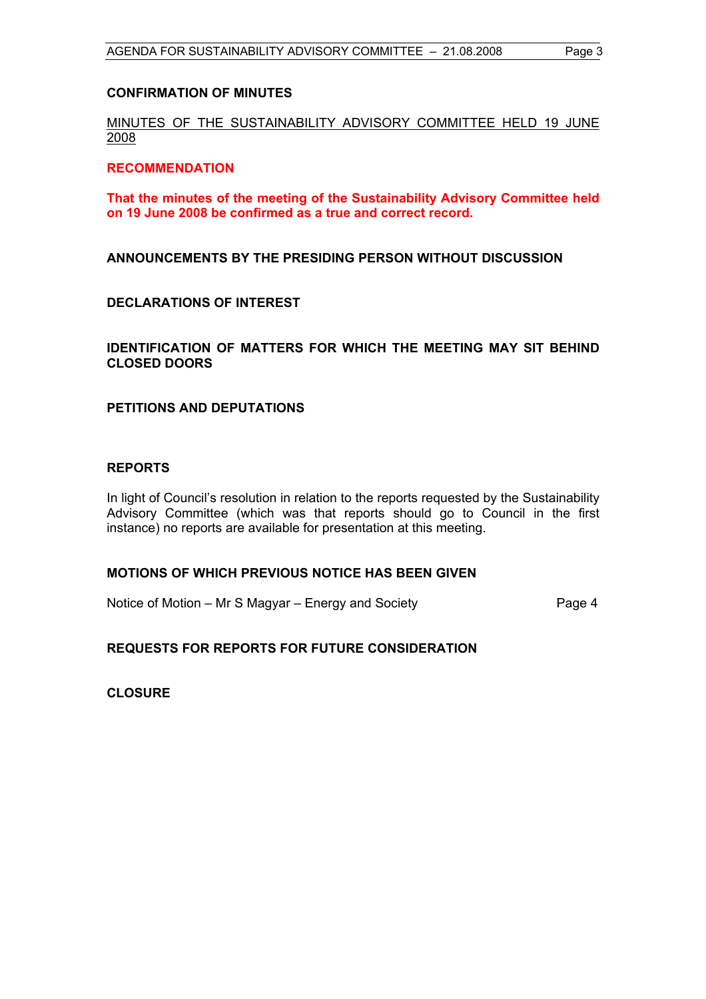#### **CONFIRMATION OF MINUTES**

## MINUTES OF THE SUSTAINABILITY ADVISORY COMMITTEE HELD 19 JUNE 2008

#### **RECOMMENDATION**

**That the minutes of the meeting of the Sustainability Advisory Committee held on 19 June 2008 be confirmed as a true and correct record.** 

**ANNOUNCEMENTS BY THE PRESIDING PERSON WITHOUT DISCUSSION** 

#### **DECLARATIONS OF INTEREST**

#### **IDENTIFICATION OF MATTERS FOR WHICH THE MEETING MAY SIT BEHIND CLOSED DOORS**

#### **PETITIONS AND DEPUTATIONS**

#### **REPORTS**

In light of Council's resolution in relation to the reports requested by the Sustainability Advisory Committee (which was that reports should go to Council in the first instance) no reports are available for presentation at this meeting.

#### **MOTIONS OF WHICH PREVIOUS NOTICE HAS BEEN GIVEN**

Notice of Motion – Mr S Magyar – Energy and Society Page 4

## **REQUESTS FOR REPORTS FOR FUTURE CONSIDERATION**

**CLOSURE**